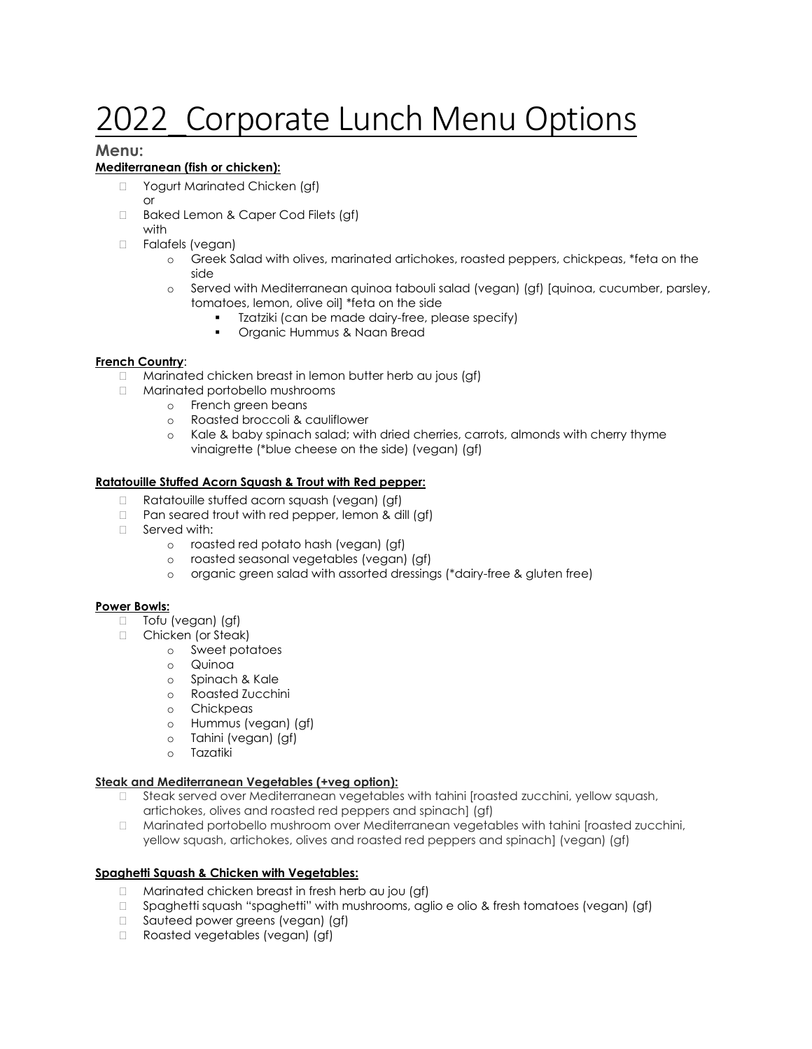# 2022 Corporate Lunch Menu Options

# **Menu:**

# **Mediterranean (fish or chicken):**

- □ Yogurt Marinated Chicken (gf) or
- □ Baked Lemon & Caper Cod Filets (gf) with
- D Falafels (vegan)
	- o Greek Salad with olives, marinated artichokes, roasted peppers, chickpeas, \*feta on the side
	- o Served with Mediterranean quinoa tabouli salad (vegan) (gf) [quinoa, cucumber, parsley, tomatoes, lemon, olive oil] \*feta on the side
		- Tzatziki (can be made dairy-free, please specify)
		- Organic Hummus & Naan Bread

## **French Country**:

- Marinated chicken breast in lemon butter herb au jous (gf)
- Marinated portobello mushrooms
	- o French green beans
		- o Roasted broccoli & cauliflower
		- o Kale & baby spinach salad; with dried cherries, carrots, almonds with cherry thyme vinaigrette (\*blue cheese on the side) (vegan) (gf)

## **Ratatouille Stuffed Acorn Squash & Trout with Red pepper:**

- □ Ratatouille stuffed acorn squash (vegan) (gf)
- $\Box$  Pan seared trout with red pepper, lemon & dill (gf)
- □ Served with:
	- o roasted red potato hash (vegan) (gf)
	- o roasted seasonal vegetables (vegan) (gf)
	- o organic green salad with assorted dressings (\*dairy-free & gluten free)

#### **Power Bowls:**

- □ Tofu (vegan) (gf)
- □ Chicken (or Steak)
	- o Sweet potatoes
		- o Quinoa
		- o Spinach & Kale
		- o Roasted Zucchini
		- o Chickpeas
		- o Hummus (vegan) (gf)
		- o Tahini (vegan) (gf)
		- o Tazatiki

#### **Steak and Mediterranean Vegetables (+veg option):**

- Steak served over Mediterranean vegetables with tahini [roasted zucchini, yellow squash, artichokes, olives and roasted red peppers and spinach] (gf)
- Marinated portobello mushroom over Mediterranean vegetables with tahini [roasted zucchini, yellow squash, artichokes, olives and roasted red peppers and spinach] (vegan) (gf)

#### **Spaghetti Squash & Chicken with Vegetables:**

- $\Box$  Marinated chicken breast in fresh herb au jou (gf)
- $\Box$  Spaghetti squash "spaghetti" with mushrooms, aglio e olio & fresh tomatoes (vegan) (gf)
- □ Sauteed power greens (vegan) (gf)
- Roasted vegetables (vegan) (gf)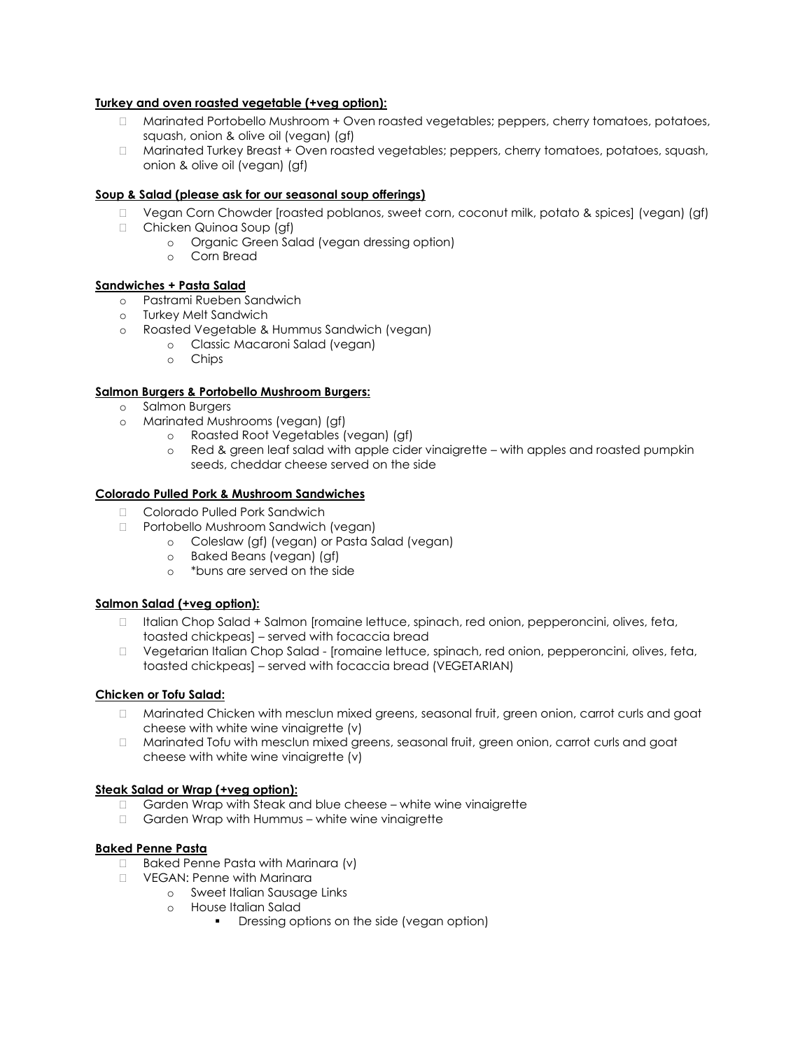## **Turkey and oven roasted vegetable (+veg option):**

- □ Marinated Portobello Mushroom + Oven roasted vegetables; peppers, cherry tomatoes, potatoes, squash, onion & olive oil (vegan) (gf)
- □ Marinated Turkey Breast + Oven roasted vegetables; peppers, cherry tomatoes, potatoes, squash, onion & olive oil (vegan) (gf)

## **Soup & Salad (please ask for our seasonal soup offerings)**

- □ Vegan Corn Chowder [roasted poblanos, sweet corn, coconut milk, potato & spices] (vegan) (gf)
- □ Chicken Quinoa Soup (gf)
	- o Organic Green Salad (vegan dressing option)
	- o Corn Bread

#### **Sandwiches + Pasta Salad**

- o Pastrami Rueben Sandwich
- o Turkey Melt Sandwich
- o Roasted Vegetable & Hummus Sandwich (vegan)
	- o Classic Macaroni Salad (vegan)
	- o Chips

#### **Salmon Burgers & Portobello Mushroom Burgers:**

- o Salmon Burgers
- o Marinated Mushrooms (vegan) (gf)
	- o Roasted Root Vegetables (vegan) (gf)
	- o Red & green leaf salad with apple cider vinaigrette with apples and roasted pumpkin seeds, cheddar cheese served on the side

#### **Colorado Pulled Pork & Mushroom Sandwiches**

- □ Colorado Pulled Pork Sandwich
- □ Portobello Mushroom Sandwich (vegan)
	- o Coleslaw (gf) (vegan) or Pasta Salad (vegan)
	- o Baked Beans (vegan) (gf)
	- o \*buns are served on the side

#### **Salmon Salad (+veg option):**

- □ Italian Chop Salad + Salmon [romaine lettuce, spinach, red onion, pepperoncini, olives, feta, toasted chickpeas] – served with focaccia bread
- □ Vegetarian Italian Chop Salad [romaine lettuce, spinach, red onion, pepperoncini, olives, feta, toasted chickpeas] – served with focaccia bread (VEGETARIAN)

#### **Chicken or Tofu Salad:**

- Marinated Chicken with mesclun mixed greens, seasonal fruit, green onion, carrot curls and goat cheese with white wine vinaigrette (v)
- Marinated Tofu with mesclun mixed greens, seasonal fruit, green onion, carrot curls and goat cheese with white wine vinaigrette (v)

#### **Steak Salad or Wrap (+veg option):**

- □ Garden Wrap with Steak and blue cheese white wine vinaigrette
- □ Garden Wrap with Hummus white wine vinaigrette

#### **Baked Penne Pasta**

- □ Baked Penne Pasta with Marinara (v)
- D VEGAN: Penne with Marinara
	- o Sweet Italian Sausage Links
		- o House Italian Salad
			- Dressing options on the side (vegan option)